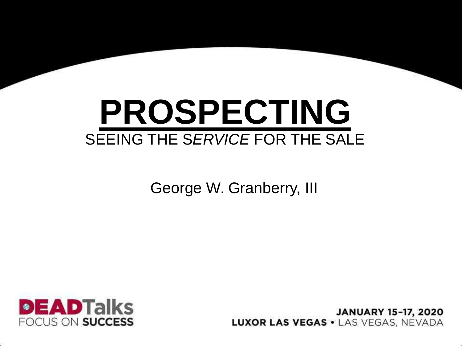## **PROSPECTING** SEEING THE S*ERVICE* FOR THE SALE

George W. Granberry, III



**JANUARY 15-17, 2020 LUXOR LAS VEGAS . LAS VEGAS. NEVADA**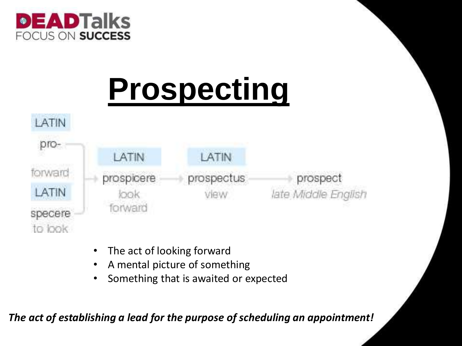

## **Prospecting**



- The act of looking forward
- A mental picture of something
- Something that is awaited or expected

*The act of establishing a lead for the purpose of scheduling an appointment!*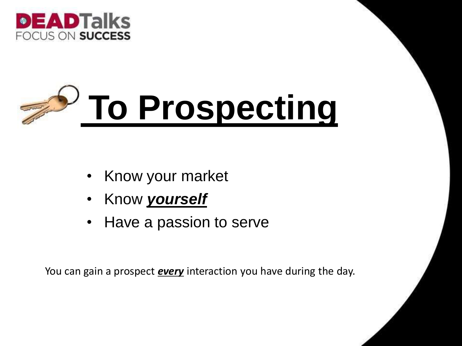

## **To Prospecting**

- Know your market
- Know *yourself*
- Have a passion to serve

You can gain a prospect *every* interaction you have during the day.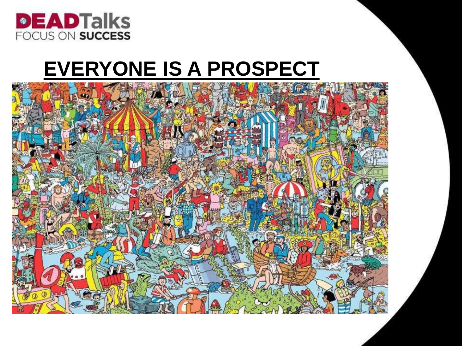

#### **EVERYONE IS A PROSPECT**

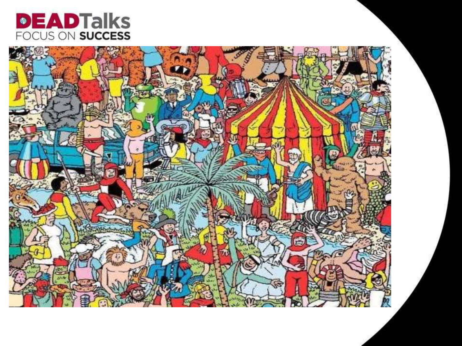

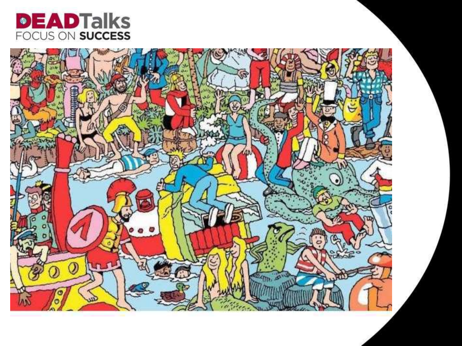

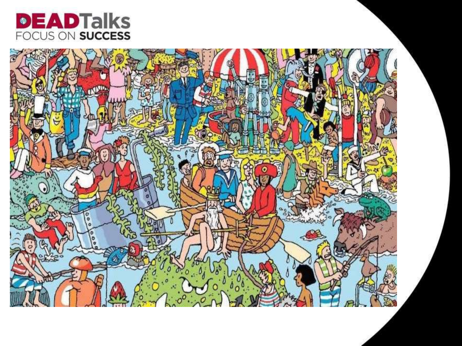

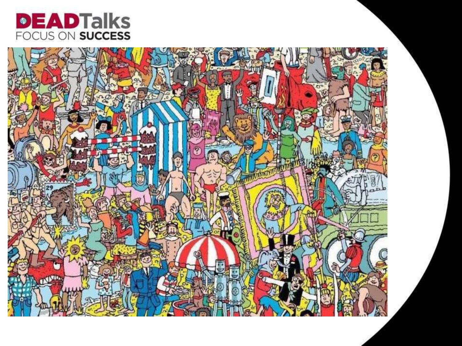

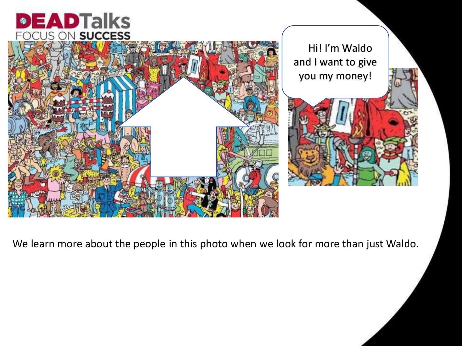#### **EADTalks**  $\bullet$



We learn more about the people in this photo when we look for more than just Waldo.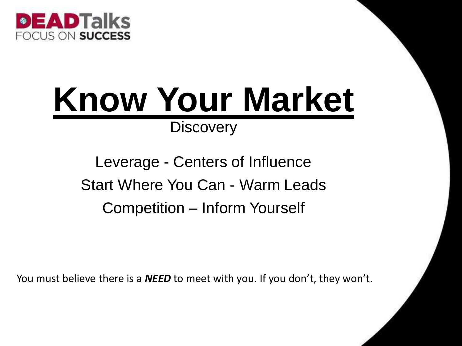

## **Know Your Market**

#### **Discovery**

Leverage - Centers of Influence Start Where You Can - Warm Leads Competition – Inform Yourself

You must believe there is a *NEED* to meet with you. If you don't, they won't.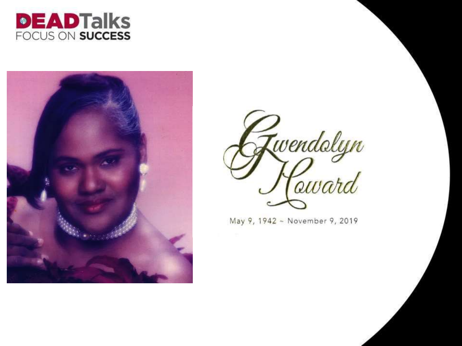





May 9, 1942 - November 9, 2019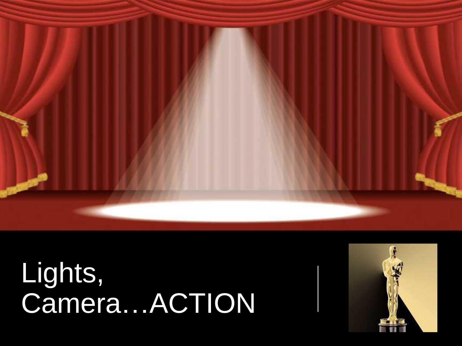

# Lights,<br>Camera...ACTION

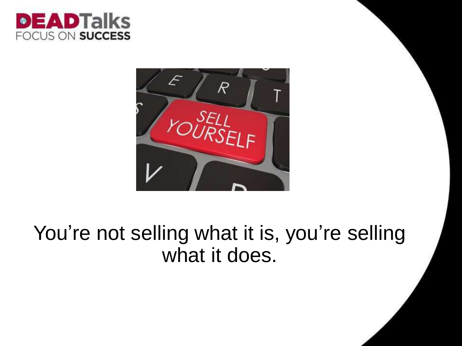



#### You're not selling what it is, you're selling what it does.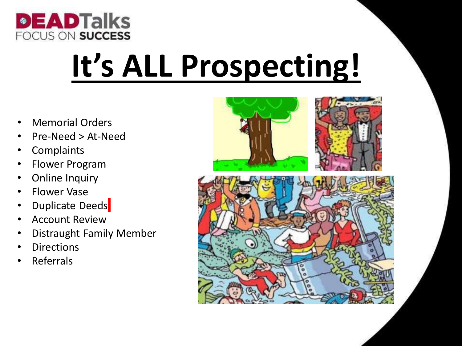

## **It's ALL Prospecting!**

- Memorial Orders
- Pre-Need > At-Need
- **Complaints**
- Flower Program
- Online Inquiry
- Flower Vase
- **Duplicate Deeds**
- Account Review
- Distraught Family Member
- **Directions**
- **Referrals**



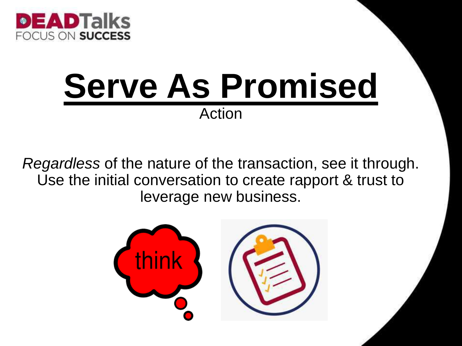

## **Serve As Promised** Action

*Regardless* of the nature of the transaction, see it through. Use the initial conversation to create rapport & trust to leverage new business.

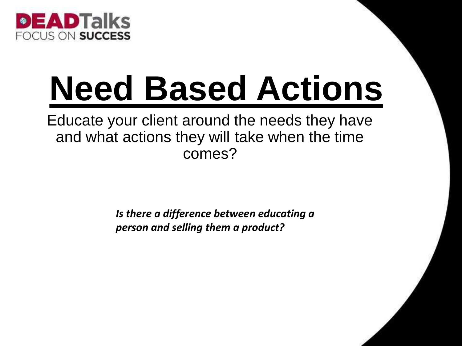

## **Need Based Actions**

Educate your client around the needs they have and what actions they will take when the time comes?

> *Is there a difference between educating a person and selling them a product?*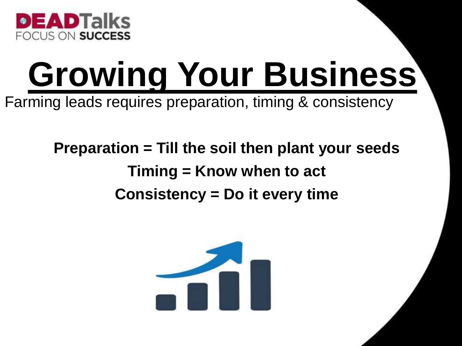

## **Growing Your Business**

Farming leads requires preparation, timing & consistency

#### **Preparation = Till the soil then plant your seeds Timing = Know when to act Consistency = Do it every time**

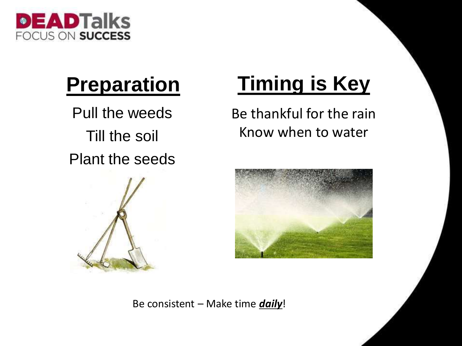

### **Preparation**

Pull the weeds Till the soil Plant the seeds



### **Timing is Key**

Be thankful for the rain Know when to water



Be consistent – Make time *daily*!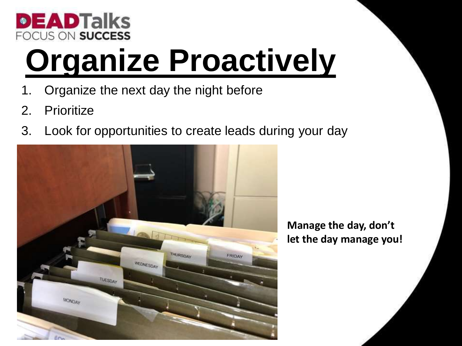

## **Organize Proactively**

- 1. Organize the next day the night before
- 2. Prioritize
- 3. Look for opportunities to create leads during your day



**Manage the day, don't let the day manage you!**